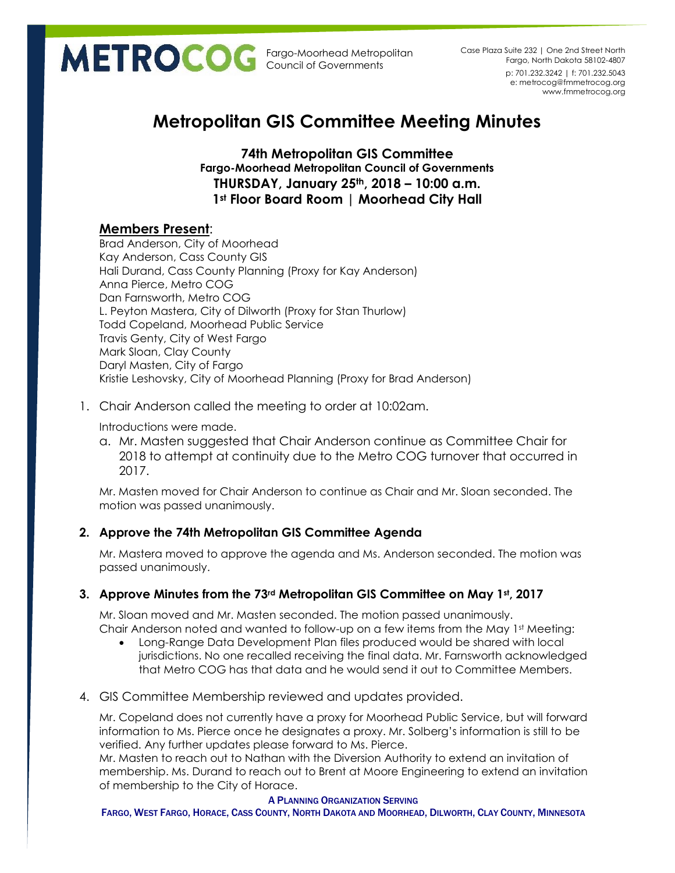p: 701.232.3242 | f: 701.232.5043 e: metrocog@fmmetrocog.org www.fmmetrocog.org Case Plaza Suite 232 | One 2nd Street North Fargo, North Dakota 58102-4807

# **Metropolitan GIS Committee Meeting Minutes**

**74th Metropolitan GIS Committee Fargo-Moorhead Metropolitan Council of Governments THURSDAY, January 25th, 2018 – 10:00 a.m. 1st Floor Board Room | Moorhead City Hall**

# **Members Present**:

Brad Anderson, City of Moorhead Kay Anderson, Cass County GIS Hali Durand, Cass County Planning (Proxy for Kay Anderson) Anna Pierce, Metro COG Dan Farnsworth, Metro COG L. Peyton Mastera, City of Dilworth (Proxy for Stan Thurlow) Todd Copeland, Moorhead Public Service Travis Genty, City of West Fargo Mark Sloan, Clay County Daryl Masten, City of Fargo Kristie Leshovsky, City of Moorhead Planning (Proxy for Brad Anderson)

1. Chair Anderson called the meeting to order at 10:02am.

Introductions were made.

a. Mr. Masten suggested that Chair Anderson continue as Committee Chair for 2018 to attempt at continuity due to the Metro COG turnover that occurred in 2017.

Mr. Masten moved for Chair Anderson to continue as Chair and Mr. Sloan seconded. The motion was passed unanimously.

# **2. Approve the 74th Metropolitan GIS Committee Agenda**

Mr. Mastera moved to approve the agenda and Ms. Anderson seconded. The motion was passed unanimously.

# **3. Approve Minutes from the 73rd Metropolitan GIS Committee on May 1st, 2017**

Mr. Sloan moved and Mr. Masten seconded. The motion passed unanimously. Chair Anderson noted and wanted to follow-up on a few items from the May  $1<sup>st</sup>$  Meeting:

- Long-Range Data Development Plan files produced would be shared with local jurisdictions. No one recalled receiving the final data. Mr. Farnsworth acknowledged that Metro COG has that data and he would send it out to Committee Members.
- 4. GIS Committee Membership reviewed and updates provided.

Mr. Copeland does not currently have a proxy for Moorhead Public Service, but will forward information to Ms. Pierce once he designates a proxy. Mr. Solberg's information is still to be verified. Any further updates please forward to Ms. Pierce.

Mr. Masten to reach out to Nathan with the Diversion Authority to extend an invitation of membership. Ms. Durand to reach out to Brent at Moore Engineering to extend an invitation of membership to the City of Horace.

### A PLANNING ORGANIZATION SERVING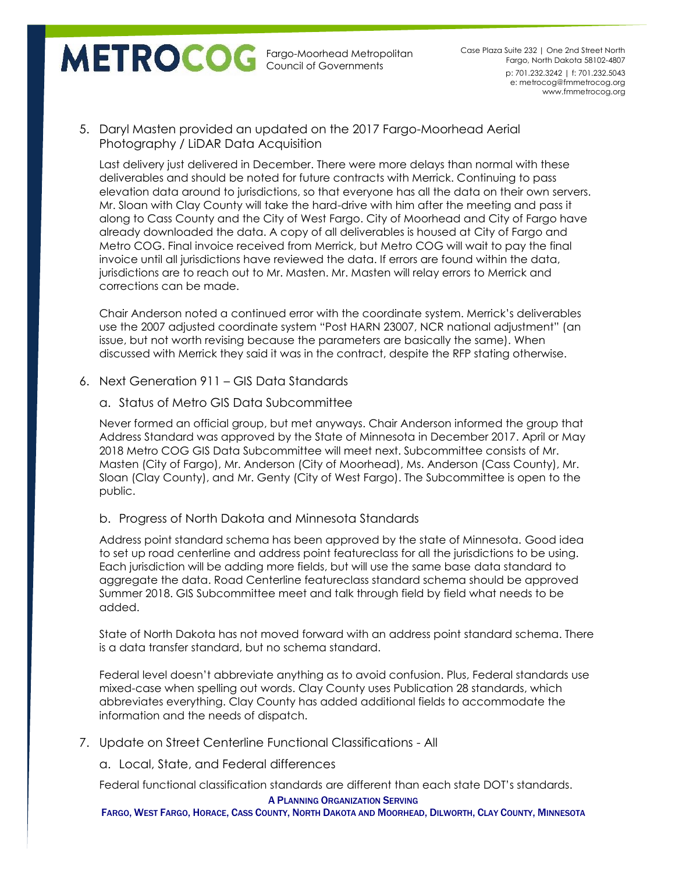p: 701.232.3242 | f: 701.232.5043 e: metrocog@fmmetrocog.org www.fmmetrocog.org Case Plaza Suite 232 | One 2nd Street North Fargo, North Dakota 58102-4807

5. Daryl Masten provided an updated on the 2017 Fargo-Moorhead Aerial Photography / LiDAR Data Acquisition

Last delivery just delivered in December. There were more delays than normal with these deliverables and should be noted for future contracts with Merrick. Continuing to pass elevation data around to jurisdictions, so that everyone has all the data on their own servers. Mr. Sloan with Clay County will take the hard-drive with him after the meeting and pass it along to Cass County and the City of West Fargo. City of Moorhead and City of Fargo have already downloaded the data. A copy of all deliverables is housed at City of Fargo and Metro COG. Final invoice received from Merrick, but Metro COG will wait to pay the final invoice until all jurisdictions have reviewed the data. If errors are found within the data, jurisdictions are to reach out to Mr. Masten. Mr. Masten will relay errors to Merrick and corrections can be made.

Chair Anderson noted a continued error with the coordinate system. Merrick's deliverables use the 2007 adjusted coordinate system "Post HARN 23007, NCR national adjustment" (an issue, but not worth revising because the parameters are basically the same). When discussed with Merrick they said it was in the contract, despite the RFP stating otherwise.

- 6. Next Generation 911 GIS Data Standards
	- a. Status of Metro GIS Data Subcommittee

Never formed an official group, but met anyways. Chair Anderson informed the group that Address Standard was approved by the State of Minnesota in December 2017. April or May 2018 Metro COG GIS Data Subcommittee will meet next. Subcommittee consists of Mr. Masten (City of Fargo), Mr. Anderson (City of Moorhead), Ms. Anderson (Cass County), Mr. Sloan (Clay County), and Mr. Genty (City of West Fargo). The Subcommittee is open to the public.

b. Progress of North Dakota and Minnesota Standards

Address point standard schema has been approved by the state of Minnesota. Good idea to set up road centerline and address point featureclass for all the jurisdictions to be using. Each jurisdiction will be adding more fields, but will use the same base data standard to aggregate the data. Road Centerline featureclass standard schema should be approved Summer 2018. GIS Subcommittee meet and talk through field by field what needs to be added.

State of North Dakota has not moved forward with an address point standard schema. There is a data transfer standard, but no schema standard.

Federal level doesn't abbreviate anything as to avoid confusion. Plus, Federal standards use mixed-case when spelling out words. Clay County uses Publication 28 standards, which abbreviates everything. Clay County has added additional fields to accommodate the information and the needs of dispatch.

7. Update on Street Centerline Functional Classifications - All

a. Local, State, and Federal differences

Federal functional classification standards are different than each state DOT's standards.

#### A PLANNING ORGANIZATION SERVING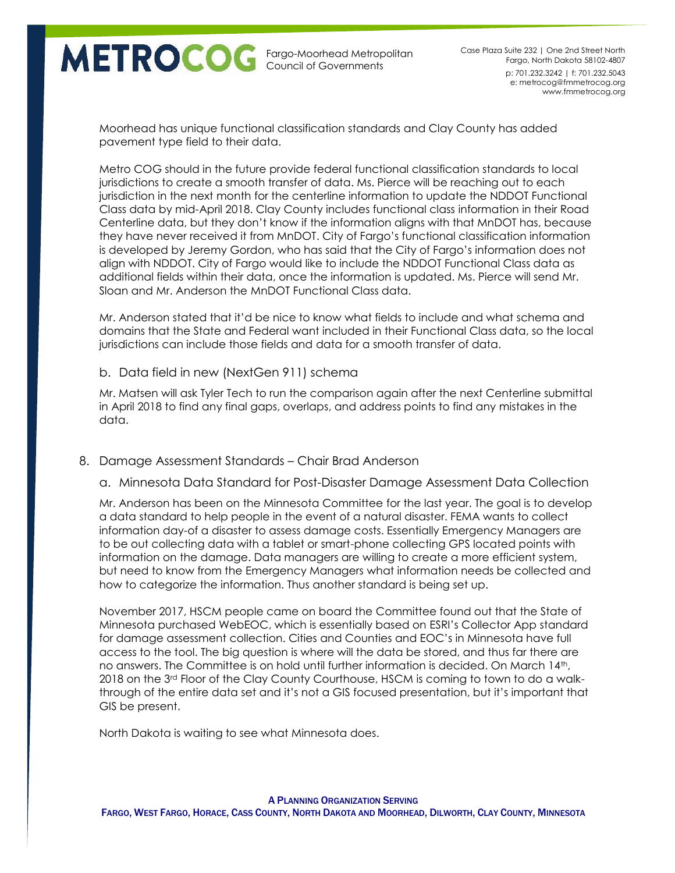

p: 701.232.3242 | f: 701.232.5043 e: metrocog@fmmetrocog.org www.fmmetrocog.org Case Plaza Suite 232 | One 2nd Street North Fargo, North Dakota 58102-4807

Moorhead has unique functional classification standards and Clay County has added pavement type field to their data.

Metro COG should in the future provide federal functional classification standards to local jurisdictions to create a smooth transfer of data. Ms. Pierce will be reaching out to each jurisdiction in the next month for the centerline information to update the NDDOT Functional Class data by mid-April 2018. Clay County includes functional class information in their Road Centerline data, but they don't know if the information aligns with that MnDOT has, because they have never received it from MnDOT. City of Fargo's functional classification information is developed by Jeremy Gordon, who has said that the City of Fargo's information does not align with NDDOT. City of Fargo would like to include the NDDOT Functional Class data as additional fields within their data, once the information is updated. Ms. Pierce will send Mr. Sloan and Mr. Anderson the MnDOT Functional Class data.

Mr. Anderson stated that it'd be nice to know what fields to include and what schema and domains that the State and Federal want included in their Functional Class data, so the local jurisdictions can include those fields and data for a smooth transfer of data.

### b. Data field in new (NextGen 911) schema

Mr. Matsen will ask Tyler Tech to run the comparison again after the next Centerline submittal in April 2018 to find any final gaps, overlaps, and address points to find any mistakes in the data.

### 8. Damage Assessment Standards – Chair Brad Anderson

a. Minnesota Data Standard for Post-Disaster Damage Assessment Data Collection

Mr. Anderson has been on the Minnesota Committee for the last year. The goal is to develop a data standard to help people in the event of a natural disaster. FEMA wants to collect information day-of a disaster to assess damage costs. Essentially Emergency Managers are to be out collecting data with a tablet or smart-phone collecting GPS located points with information on the damage. Data managers are willing to create a more efficient system, but need to know from the Emergency Managers what information needs be collected and how to categorize the information. Thus another standard is being set up.

November 2017, HSCM people came on board the Committee found out that the State of Minnesota purchased WebEOC, which is essentially based on ESRI's Collector App standard for damage assessment collection. Cities and Counties and EOC's in Minnesota have full access to the tool. The big question is where will the data be stored, and thus far there are no answers. The Committee is on hold until further information is decided. On March 14th, 2018 on the 3<sup>rd</sup> Floor of the Clay County Courthouse, HSCM is coming to town to do a walkthrough of the entire data set and it's not a GIS focused presentation, but it's important that GIS be present.

North Dakota is waiting to see what Minnesota does.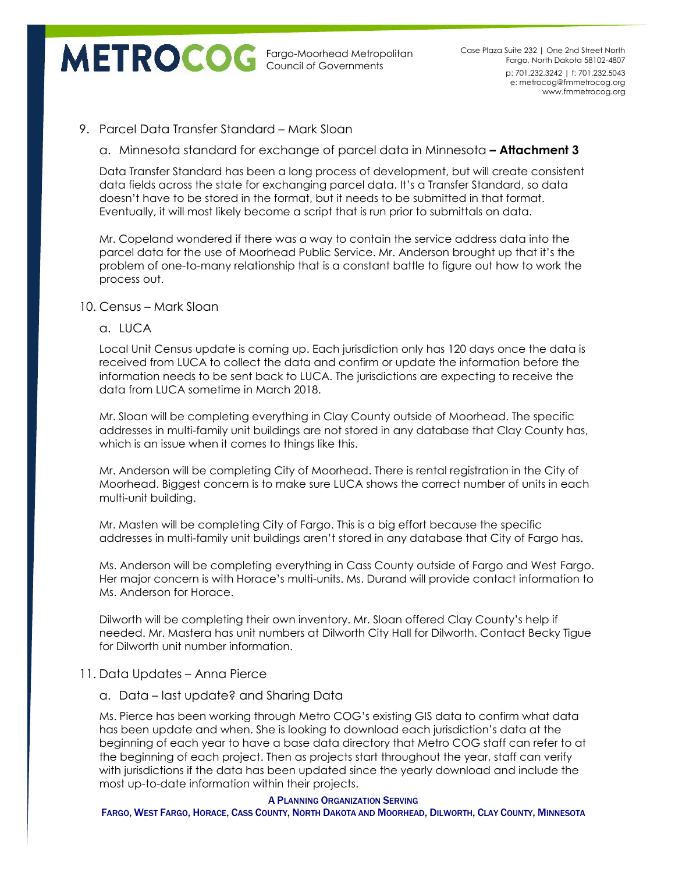p: 701.232.3242 | f: 701.232.5043 e: metrocog@fmmetrocog.org www.fmmetrocog.org Case Plaza Suite 232 | One 2nd Street North Fargo, North Dakota 58102-4807

# 9. Parcel Data Transfer Standard – Mark Sloan

a. Minnesota standard for exchange of parcel data in Minnesota **– Attachment 3**

Data Transfer Standard has been a long process of development, but will create consistent data fields across the state for exchanging parcel data. It's a Transfer Standard, so data doesn't have to be stored in the format, but it needs to be submitted in that format. Eventually, it will most likely become a script that is run prior to submittals on data.

Mr. Copeland wondered if there was a way to contain the service address data into the parcel data for the use of Moorhead Public Service. Mr. Anderson brought up that it's the problem of one-to-many relationship that is a constant battle to figure out how to work the process out.

### 10. Census – Mark Sloan

### a. LUCA

Local Unit Census update is coming up. Each jurisdiction only has 120 days once the data is received from LUCA to collect the data and confirm or update the information before the information needs to be sent back to LUCA. The jurisdictions are expecting to receive the data from LUCA sometime in March 2018.

Mr. Sloan will be completing everything in Clay County outside of Moorhead. The specific addresses in multi-family unit buildings are not stored in any database that Clay County has, which is an issue when it comes to things like this.

Mr. Anderson will be completing City of Moorhead. There is rental registration in the City of Moorhead. Biggest concern is to make sure LUCA shows the correct number of units in each multi-unit building.

Mr. Masten will be completing City of Fargo. This is a big effort because the specific addresses in multi-family unit buildings aren't stored in any database that City of Fargo has.

Ms. Anderson will be completing everything in Cass County outside of Fargo and West Fargo. Her major concern is with Horace's multi-units. Ms. Durand will provide contact information to Ms. Anderson for Horace.

Dilworth will be completing their own inventory. Mr. Sloan offered Clay County's help if needed. Mr. Mastera has unit numbers at Dilworth City Hall for Dilworth. Contact Becky Tigue for Dilworth unit number information.

## 11. Data Updates – Anna Pierce

a. Data – last update? and Sharing Data

Ms. Pierce has been working through Metro COG's existing GIS data to confirm what data has been update and when. She is looking to download each jurisdiction's data at the beginning of each year to have a base data directory that Metro COG staff can refer to at the beginning of each project. Then as projects start throughout the year, staff can verify with jurisdictions if the data has been updated since the yearly download and include the most up-to-date information within their projects.

#### A PLANNING ORGANIZATION SERVING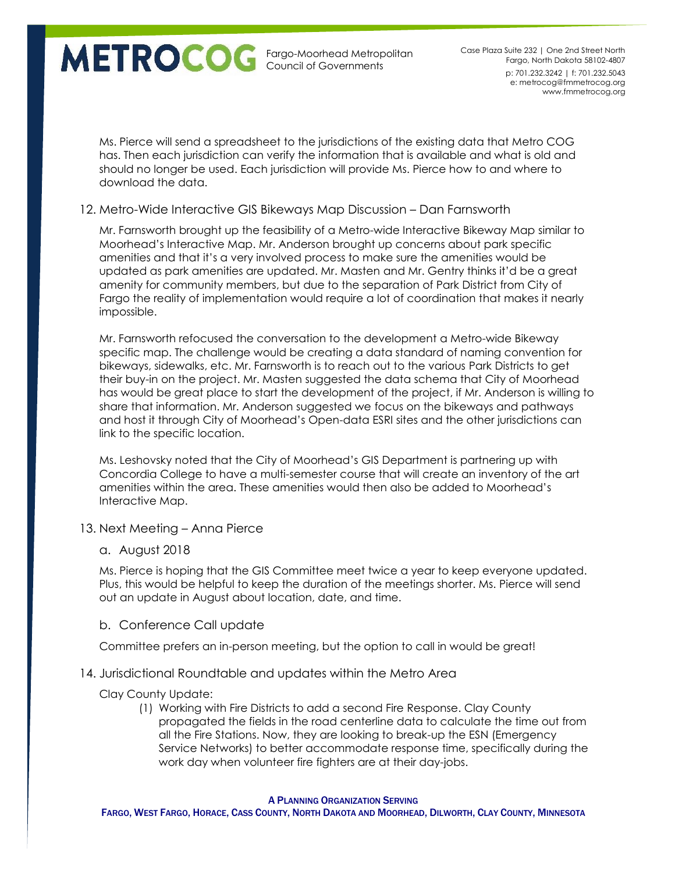p: 701.232.3242 | f: 701.232.5043 e: metrocog@fmmetrocog.org www.fmmetrocog.org Case Plaza Suite 232 | One 2nd Street North Fargo, North Dakota 58102-4807

Ms. Pierce will send a spreadsheet to the jurisdictions of the existing data that Metro COG has. Then each jurisdiction can verify the information that is available and what is old and should no longer be used. Each jurisdiction will provide Ms. Pierce how to and where to download the data.

### 12. Metro-Wide Interactive GIS Bikeways Map Discussion – Dan Farnsworth

Mr. Farnsworth brought up the feasibility of a Metro-wide Interactive Bikeway Map similar to Moorhead's Interactive Map. Mr. Anderson brought up concerns about park specific amenities and that it's a very involved process to make sure the amenities would be updated as park amenities are updated. Mr. Masten and Mr. Gentry thinks it'd be a great amenity for community members, but due to the separation of Park District from City of Fargo the reality of implementation would require a lot of coordination that makes it nearly impossible.

Mr. Farnsworth refocused the conversation to the development a Metro-wide Bikeway specific map. The challenge would be creating a data standard of naming convention for bikeways, sidewalks, etc. Mr. Farnsworth is to reach out to the various Park Districts to get their buy-in on the project. Mr. Masten suggested the data schema that City of Moorhead has would be great place to start the development of the project, if Mr. Anderson is willing to share that information. Mr. Anderson suggested we focus on the bikeways and pathways and host it through City of Moorhead's Open-data ESRI sites and the other jurisdictions can link to the specific location.

Ms. Leshovsky noted that the City of Moorhead's GIS Department is partnering up with Concordia College to have a multi-semester course that will create an inventory of the art amenities within the area. These amenities would then also be added to Moorhead's Interactive Map.

13. Next Meeting – Anna Pierce

### a. August 2018

Ms. Pierce is hoping that the GIS Committee meet twice a year to keep everyone updated. Plus, this would be helpful to keep the duration of the meetings shorter. Ms. Pierce will send out an update in August about location, date, and time.

### b. Conference Call update

Committee prefers an in-person meeting, but the option to call in would be great!

### 14. Jurisdictional Roundtable and updates within the Metro Area

### Clay County Update:

(1) Working with Fire Districts to add a second Fire Response. Clay County propagated the fields in the road centerline data to calculate the time out from all the Fire Stations. Now, they are looking to break-up the ESN (Emergency Service Networks) to better accommodate response time, specifically during the work day when volunteer fire fighters are at their day-jobs.

#### A PLANNING ORGANIZATION SERVING